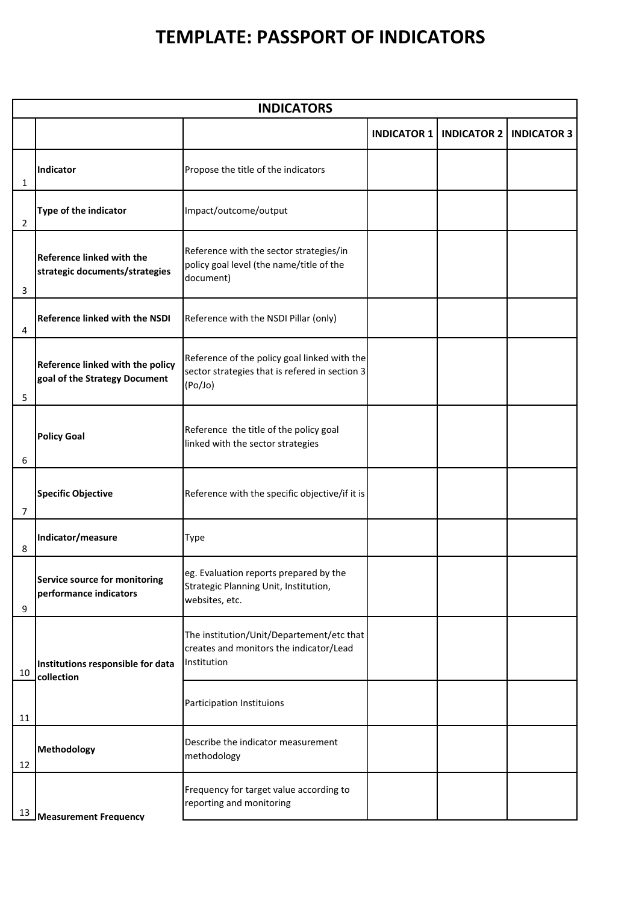## **TEMPLATE: PASSPORT OF INDICATORS**

| <b>INDICATORS</b> |                                                                    |                                                                                                           |                    |                    |                    |  |  |  |
|-------------------|--------------------------------------------------------------------|-----------------------------------------------------------------------------------------------------------|--------------------|--------------------|--------------------|--|--|--|
|                   |                                                                    |                                                                                                           | <b>INDICATOR 1</b> | <b>INDICATOR 2</b> | <b>INDICATOR 3</b> |  |  |  |
| 1                 | <b>Indicator</b>                                                   | Propose the title of the indicators                                                                       |                    |                    |                    |  |  |  |
| 2                 | Type of the indicator                                              | Impact/outcome/output                                                                                     |                    |                    |                    |  |  |  |
| 3                 | <b>Reference linked with the</b><br>strategic documents/strategies | Reference with the sector strategies/in<br>policy goal level (the name/title of the<br>document)          |                    |                    |                    |  |  |  |
| 4                 | Reference linked with the NSDI                                     | Reference with the NSDI Pillar (only)                                                                     |                    |                    |                    |  |  |  |
| 5                 | Reference linked with the policy<br>goal of the Strategy Document  | Reference of the policy goal linked with the<br>sector strategies that is refered in section 3<br>(Po/Jo) |                    |                    |                    |  |  |  |
| 6                 | <b>Policy Goal</b>                                                 | Reference the title of the policy goal<br>linked with the sector strategies                               |                    |                    |                    |  |  |  |
| $\overline{7}$    | <b>Specific Objective</b>                                          | Reference with the specific objective/if it is                                                            |                    |                    |                    |  |  |  |
| 8                 | Indicator/measure                                                  | Type                                                                                                      |                    |                    |                    |  |  |  |
| 9                 | Service source for monitoring<br>performance indicators            | eg. Evaluation reports prepared by the<br>Strategic Planning Unit, Institution,<br>websites, etc.         |                    |                    |                    |  |  |  |
| 10                | Institutions responsible for data<br>collection                    | The institution/Unit/Departement/etc that<br>creates and monitors the indicator/Lead<br>Institution       |                    |                    |                    |  |  |  |
| 11                |                                                                    | Participation Instituions                                                                                 |                    |                    |                    |  |  |  |
| 12                | Methodology                                                        | Describe the indicator measurement<br>methodology                                                         |                    |                    |                    |  |  |  |
| 13                | <b>Measurement Frequency</b>                                       | Frequency for target value according to<br>reporting and monitoring                                       |                    |                    |                    |  |  |  |